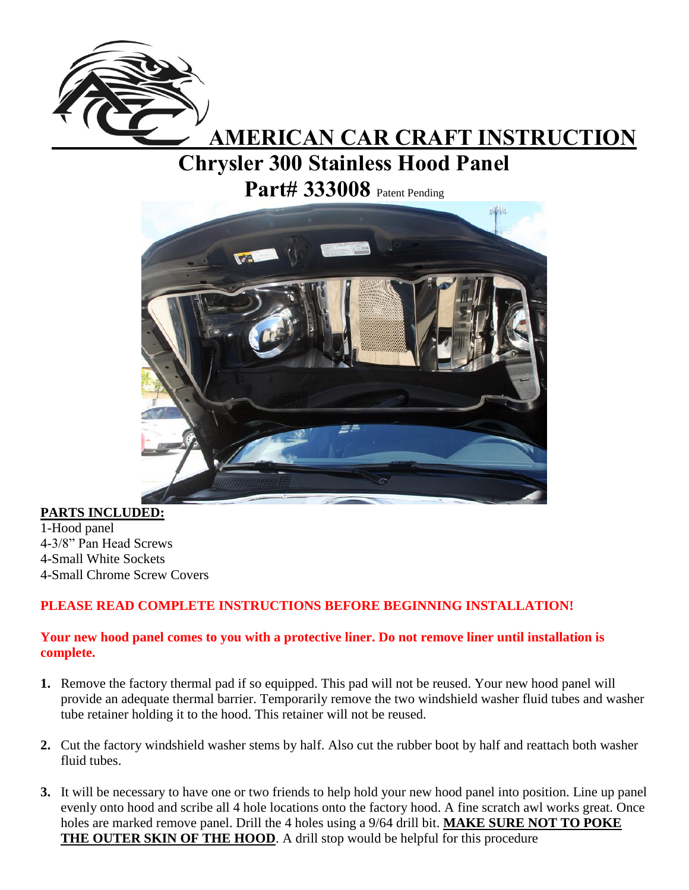

## **AMERICAN CAR CRAFT INSTRUCTION**

## **Chrysler 300 Stainless Hood Panel**

**Part# 333008** Patent Pending



**PARTS INCLUDED:** 1-Hood panel 4-3/8" Pan Head Screws 4-Small White Sockets 4-Small Chrome Screw Covers

## **PLEASE READ COMPLETE INSTRUCTIONS BEFORE BEGINNING INSTALLATION!**

## **Your new hood panel comes to you with a protective liner. Do not remove liner until installation is complete.**

- **1.** Remove the factory thermal pad if so equipped. This pad will not be reused. Your new hood panel will provide an adequate thermal barrier. Temporarily remove the two windshield washer fluid tubes and washer tube retainer holding it to the hood. This retainer will not be reused.
- **2.** Cut the factory windshield washer stems by half. Also cut the rubber boot by half and reattach both washer fluid tubes.
- **3.** It will be necessary to have one or two friends to help hold your new hood panel into position. Line up panel evenly onto hood and scribe all 4 hole locations onto the factory hood. A fine scratch awl works great. Once holes are marked remove panel. Drill the 4 holes using a 9/64 drill bit. **MAKE SURE NOT TO POKE THE OUTER SKIN OF THE HOOD**. A drill stop would be helpful for this procedure